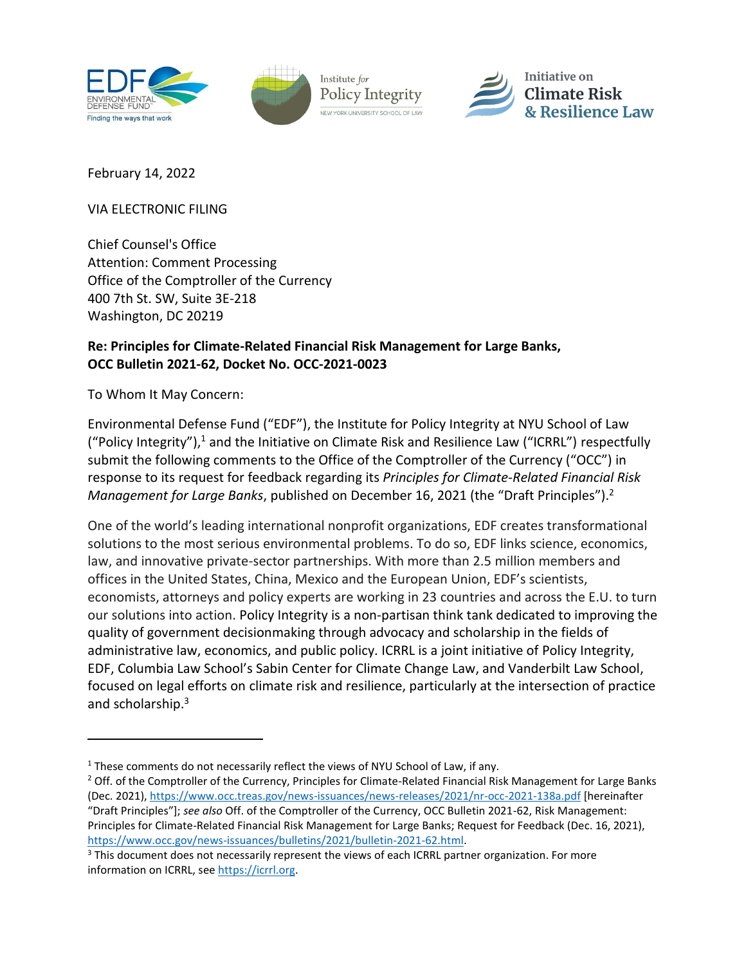

<span id="page-0-0"></span>

February 14, 2022

VIA ELECTRONIC FILING

Chief Counsel's Office Attention: Comment Processing Office of the Comptroller of the Currency 400 7th St. SW, Suite 3E-218 Washington, DC 20219

## **Re: Principles for Climate-Related Financial Risk Management for Large Banks, OCC Bulletin 2021-62, Docket No. OCC-2021-0023**

To Whom It May Concern:

Environmental Defense Fund ("EDF"), the Institute for Policy Integrity at NYU School of Law ("Policy Integrity"),<sup>1</sup> and the Initiative on Climate Risk and Resilience Law ("ICRRL") respectfully submit the following comments to the Office of the Comptroller of the Currency ("OCC") in response to its request for feedback regarding its *Principles for Climate-Related Financial Risk Management for Large Banks*, published on December 16, 2021 (the "Draft Principles").<sup>2</sup>

One of the world's leading international nonprofit organizations, EDF creates transformational solutions to the most serious environmental problems. To do so, EDF links science, economics, law, and innovative private-sector partnerships. With more than 2.5 million members and offices in the United States, China, Mexico and the European Union, EDF's scientists, economists, attorneys and policy experts are working in 23 countries and across the E.U. to turn our solutions into action. Policy Integrity is a non-partisan think tank dedicated to improving the quality of government decisionmaking through advocacy and scholarship in the fields of administrative law, economics, and public policy. ICRRL is a joint initiative of Policy Integrity, EDF, Columbia Law School's Sabin Center for Climate Change Law, and Vanderbilt Law School, focused on legal efforts on climate risk and resilience, particularly at the intersection of practice and scholarship.<sup>3</sup>

<sup>&</sup>lt;sup>1</sup> These comments do not necessarily reflect the views of NYU School of Law, if any.

<sup>&</sup>lt;sup>2</sup> Off. of the Comptroller of the Currency, Principles for Climate-Related Financial Risk Management for Large Banks (Dec. 2021),<https://www.occ.treas.gov/news-issuances/news-releases/2021/nr-occ-2021-138a.pdf> [hereinafter "Draft Principles"]; *see also* Off. of the Comptroller of the Currency, OCC Bulletin 2021-62, Risk Management: Principles for Climate-Related Financial Risk Management for Large Banks; Request for Feedback (Dec. 16, 2021), [https://www.occ.gov/news-issuances/bulletins/2021/bulletin-2021-62.html.](https://www.occ.gov/news-issuances/bulletins/2021/bulletin-2021-62.html)

<sup>&</sup>lt;sup>3</sup> This document does not necessarily represent the views of each ICRRL partner organization. For more information on ICRRL, see [https://icrrl.org.](https://icrrl.org/)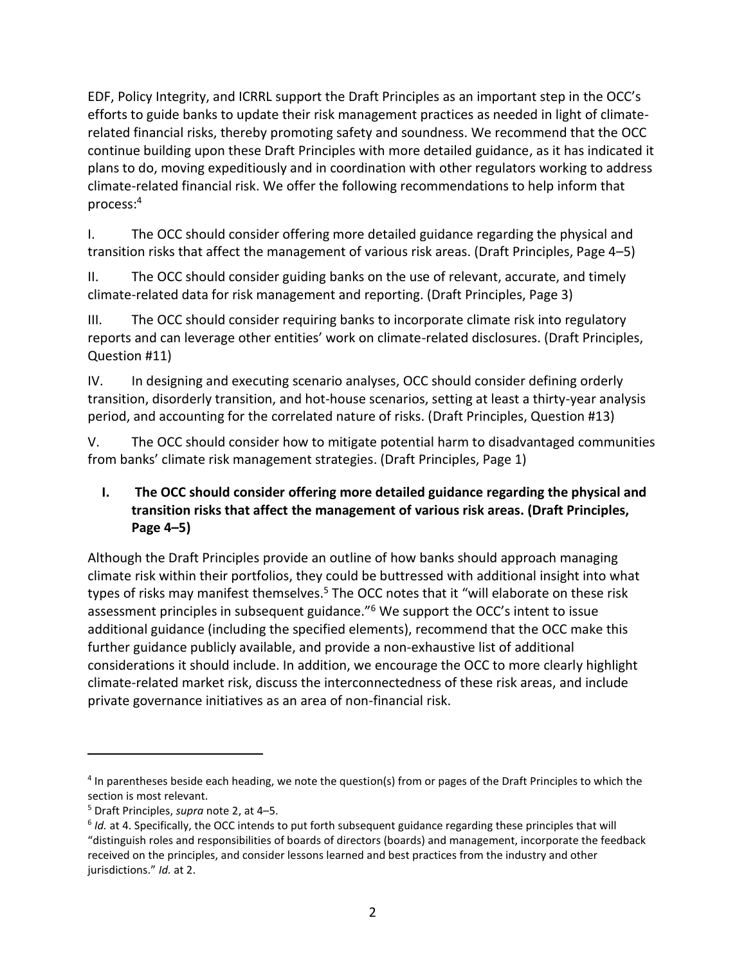EDF, Policy Integrity, and ICRRL support the Draft Principles as an important step in the OCC's efforts to guide banks to update their risk management practices as needed in light of climaterelated financial risks, thereby promoting safety and soundness. We recommend that the OCC continue building upon these Draft Principles with more detailed guidance, as it has indicated it plans to do, moving expeditiously and in coordination with other regulators working to address climate-related financial risk. We offer the following recommendations to help inform that process:<sup>4</sup>

I. [The OCC should consider offering more detailed guidance regarding the physical and](#page-1-0)  [transition risks that affect the management of various risk areas. \(Draft Principles, Page 4](#page-1-0)–5)

II. [The OCC should consider guiding banks on the use of relevant, accurate, and timely](#page-6-0)  [climate-related data for risk management and reporting. \(Draft Principles, Page 3\)](#page-6-0)

III. [The OCC should consider requiring banks to incorporate climate risk into regulatory](#page-7-0)  r[eports and can leverage other entities' work on climate](#page-7-0)-related disclosures. (Draft Principles, [Question #11\)](#page-7-0)

IV. [In designing and executing scenario analyses, OCC should consider defining orderly](#page-10-0) transition, disorderly transition, and hot-house [scenarios, setting at least a thirty-year analysis](#page-10-0)  [period, and accounting for the correlated nature of risks. \(Draft Principles, Question #13\)](#page-10-0)

V. [The OCC should consider how to mitigate potential harm to disadvantaged communities](#page-12-0)  [from banks' climate risk management strategies](#page-12-0). (Draft Principles, Page 1)

# <span id="page-1-0"></span>**I. The OCC should consider offering more detailed guidance regarding the physical and transition risks that affect the management of various risk areas. (Draft Principles, Page 4–5)**

Although the Draft Principles provide an outline of how banks should approach managing climate risk within their portfolios, they could be buttressed with additional insight into what types of risks may manifest themselves.<sup>5</sup> The OCC notes that it "will elaborate on these risk assessment principles in subsequent guidance."<sup>6</sup> We support the OCC's intent to issue additional guidance (including the specified elements), recommend that the OCC make this further guidance publicly available, and provide a non-exhaustive list of additional considerations it should include. In addition, we encourage the OCC to more clearly highlight climate-related market risk, discuss the interconnectedness of these risk areas, and include private governance initiatives as an area of non-financial risk.

<sup>&</sup>lt;sup>4</sup> In parentheses beside each heading, we note the question(s) from or pages of the Draft Principles to which the section is most relevant.

<sup>5</sup> Draft Principles, *supra* not[e 2,](#page-0-0) at 4–5.

<sup>&</sup>lt;sup>6</sup> Id. at 4. Specifically, the OCC intends to put forth subsequent guidance regarding these principles that will "distinguish roles and responsibilities of boards of directors (boards) and management, incorporate the feedback received on the principles, and consider lessons learned and best practices from the industry and other jurisdictions." *Id.* at 2.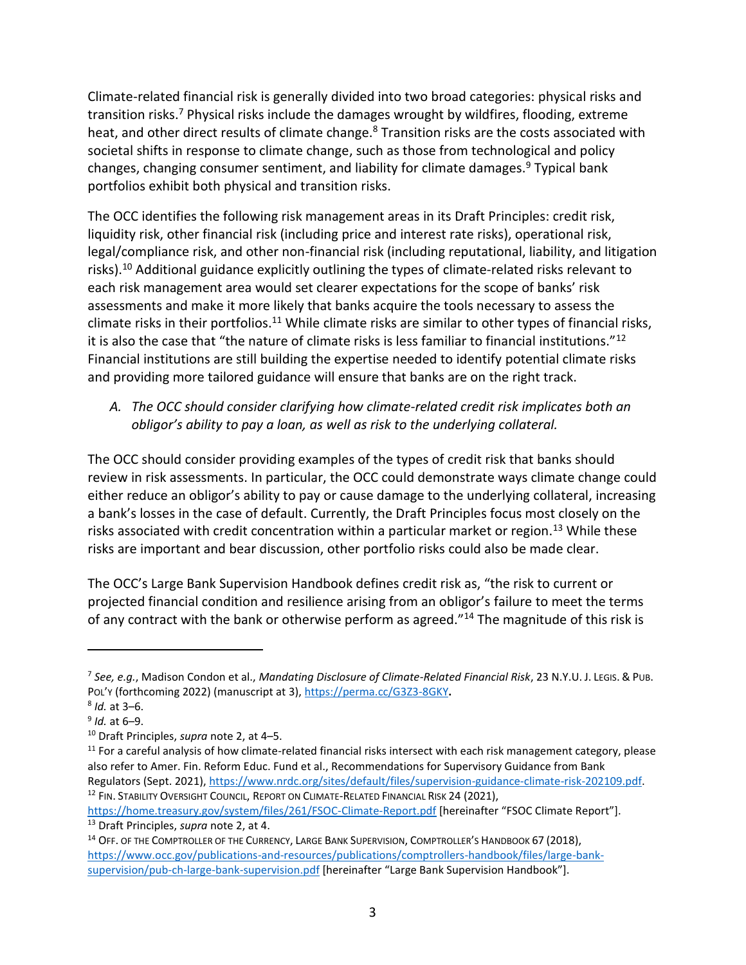<span id="page-2-2"></span>Climate-related financial risk is generally divided into two broad categories: physical risks and transition risks.<sup>7</sup> Physical risks include the damages wrought by wildfires, flooding, extreme heat, and other direct results of climate change.<sup>8</sup> Transition risks are the costs associated with societal shifts in response to climate change, such as those from technological and policy changes, changing consumer sentiment, and liability for climate damages.<sup>9</sup> Typical bank portfolios exhibit both physical and transition risks.

The OCC identifies the following risk management areas in its Draft Principles: credit risk, liquidity risk, other financial risk (including price and interest rate risks), operational risk, legal/compliance risk, and other non-financial risk (including reputational, liability, and litigation risks).<sup>10</sup> Additional guidance explicitly outlining the types of climate-related risks relevant to each risk management area would set clearer expectations for the scope of banks' risk assessments and make it more likely that banks acquire the tools necessary to assess the climate risks in their portfolios.<sup>11</sup> While climate risks are similar to other types of financial risks, it is also the case that "the nature of climate risks is less familiar to financial institutions."<sup>12</sup> Financial institutions are still building the expertise needed to identify potential climate risks and providing more tailored guidance will ensure that banks are on the right track.

# <span id="page-2-1"></span>*A. The OCC should consider clarifying how climate-related credit risk implicates both an obligor's ability to pay a loan, as well as risk to the underlying collateral.*

The OCC should consider providing examples of the types of credit risk that banks should review in risk assessments. In particular, the OCC could demonstrate ways climate change could either reduce an obligor's ability to pay or cause damage to the underlying collateral, increasing a bank's losses in the case of default. Currently, the Draft Principles focus most closely on the risks associated with credit concentration within a particular market or region.<sup>13</sup> While these risks are important and bear discussion, other portfolio risks could also be made clear.

<span id="page-2-0"></span>The OCC's Large Bank Supervision Handbook defines credit risk as, "the risk to current or projected financial condition and resilience arising from an obligor's failure to meet the terms of any contract with the bank or otherwise perform as agreed."<sup>14</sup> The magnitude of this risk is

<https://home.treasury.gov/system/files/261/FSOC-Climate-Report.pdf> [hereinafter "FSOC Climate Report"]. <sup>13</sup> Draft Principles, *supra* note [2,](#page-0-0) at 4.

<sup>7</sup> *See, e.g.*, Madison Condon et al., *Mandating Disclosure of Climate-Related Financial Risk*, 23 N.Y.U. J. LEGIS. & PUB. POL'Y (forthcoming 2022) (manuscript at 3),<https://perma.cc/G3Z3-8GKY>**.**

<sup>8</sup> *Id.* at 3–6.

<sup>9</sup> *Id.* at 6–9.

<sup>10</sup> Draft Principles, *supra* note [2,](#page-0-0) at 4–5.

 $11$  For a careful analysis of how climate-related financial risks intersect with each risk management category, please also refer to Amer. Fin. Reform Educ. Fund et al., Recommendations for Supervisory Guidance from Bank Regulators (Sept. 2021), [https://www.nrdc.org/sites/default/files/supervision-guidance-climate-risk-202109.pdf.](https://www.nrdc.org/sites/default/files/supervision-guidance-climate-risk-202109.pdf) <sup>12</sup> FIN. STABILITY OVERSIGHT COUNCIL, REPORT ON CLIMATE-RELATED FINANCIAL RISK 24 (2021),

<sup>&</sup>lt;sup>14</sup> OFF. OF THE COMPTROLLER OF THE CURRENCY, LARGE BANK SUPERVISION, COMPTROLLER'S HANDBOOK 67 (2018), [https://www.occ.gov/publications-and-resources/publications/comptrollers-handbook/files/large-bank](https://www.occ.gov/publications-and-resources/publications/comptrollers-handbook/files/large-bank-supervision/pub-ch-large-bank-supervision.pdf)[supervision/pub-ch-large-bank-supervision.pdf](https://www.occ.gov/publications-and-resources/publications/comptrollers-handbook/files/large-bank-supervision/pub-ch-large-bank-supervision.pdf) [hereinafter "Large Bank Supervision Handbook"].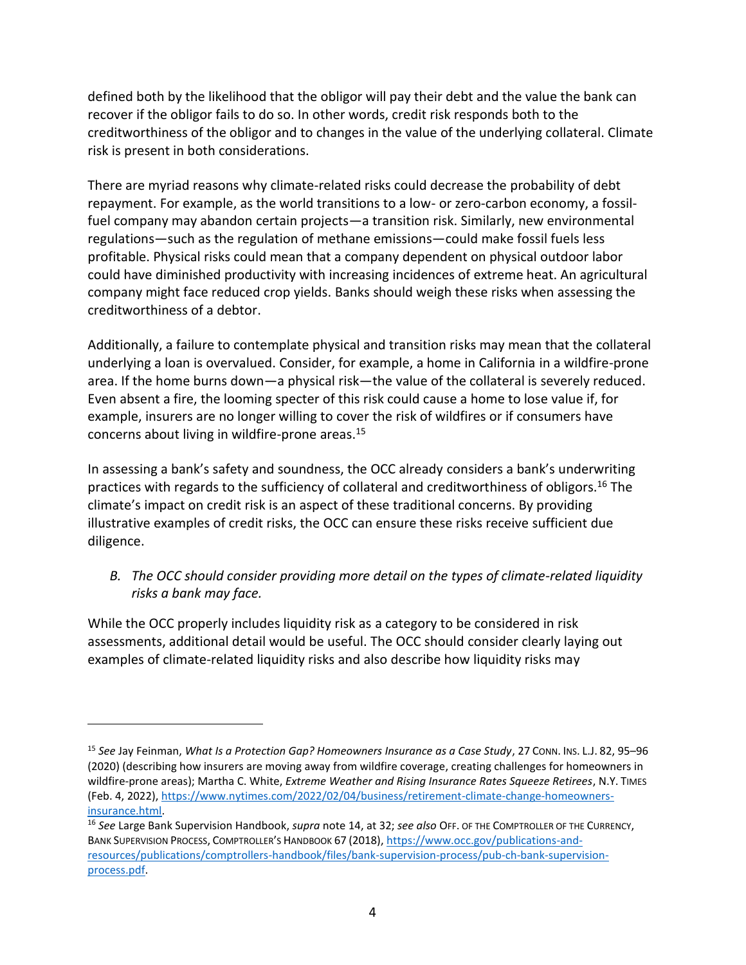defined both by the likelihood that the obligor will pay their debt and the value the bank can recover if the obligor fails to do so. In other words, credit risk responds both to the creditworthiness of the obligor and to changes in the value of the underlying collateral. Climate risk is present in both considerations.

There are myriad reasons why climate-related risks could decrease the probability of debt repayment. For example, as the world transitions to a low- or zero-carbon economy, a fossilfuel company may abandon certain projects—a transition risk. Similarly, new environmental regulations—such as the regulation of methane emissions—could make fossil fuels less profitable. Physical risks could mean that a company dependent on physical outdoor labor could have diminished productivity with increasing incidences of extreme heat. An agricultural company might face reduced crop yields. Banks should weigh these risks when assessing the creditworthiness of a debtor.

Additionally, a failure to contemplate physical and transition risks may mean that the collateral underlying a loan is overvalued. Consider, for example, a home in California in a wildfire-prone area. If the home burns down—a physical risk—the value of the collateral is severely reduced. Even absent a fire, the looming specter of this risk could cause a home to lose value if, for example, insurers are no longer willing to cover the risk of wildfires or if consumers have concerns about living in wildfire-prone areas.<sup>15</sup>

In assessing a bank's safety and soundness, the OCC already considers a bank's underwriting practices with regards to the sufficiency of collateral and creditworthiness of obligors.<sup>16</sup> The climate's impact on credit risk is an aspect of these traditional concerns. By providing illustrative examples of credit risks, the OCC can ensure these risks receive sufficient due diligence.

*B. The OCC should consider providing more detail on the types of climate-related liquidity risks a bank may face.*

While the OCC properly includes liquidity risk as a category to be considered in risk assessments, additional detail would be useful. The OCC should consider clearly laying out examples of climate-related liquidity risks and also describe how liquidity risks may

<sup>15</sup> *See* Jay Feinman, *What Is a Protection Gap? Homeowners Insurance as a Case Study*, 27 CONN. INS. L.J. 82, 95–96 (2020) (describing how insurers are moving away from wildfire coverage, creating challenges for homeowners in wildfire-prone areas); Martha C. White, *Extreme Weather and Rising Insurance Rates Squeeze Retirees*, N.Y. TIMES (Feb. 4, 2022)[, https://www.nytimes.com/2022/02/04/business/retirement-climate-change-homeowners](https://www.nytimes.com/2022/02/04/business/retirement-climate-change-homeowners-insurance.html)[insurance.html.](https://www.nytimes.com/2022/02/04/business/retirement-climate-change-homeowners-insurance.html)

<sup>16</sup> *See* Large Bank Supervision Handbook, *supra* note [14,](#page-2-0) at 32; *see also* OFF. OF THE COMPTROLLER OF THE CURRENCY, BANK SUPERVISION PROCESS, COMPTROLLER'S HANDBOOK 67 (2018)[, https://www.occ.gov/publications-and](https://www.occ.gov/publications-and-resources/publications/comptrollers-handbook/files/bank-supervision-process/pub-ch-bank-supervision-process.pdf)[resources/publications/comptrollers-handbook/files/bank-supervision-process/pub-ch-bank-supervision](https://www.occ.gov/publications-and-resources/publications/comptrollers-handbook/files/bank-supervision-process/pub-ch-bank-supervision-process.pdf)[process.pdf.](https://www.occ.gov/publications-and-resources/publications/comptrollers-handbook/files/bank-supervision-process/pub-ch-bank-supervision-process.pdf)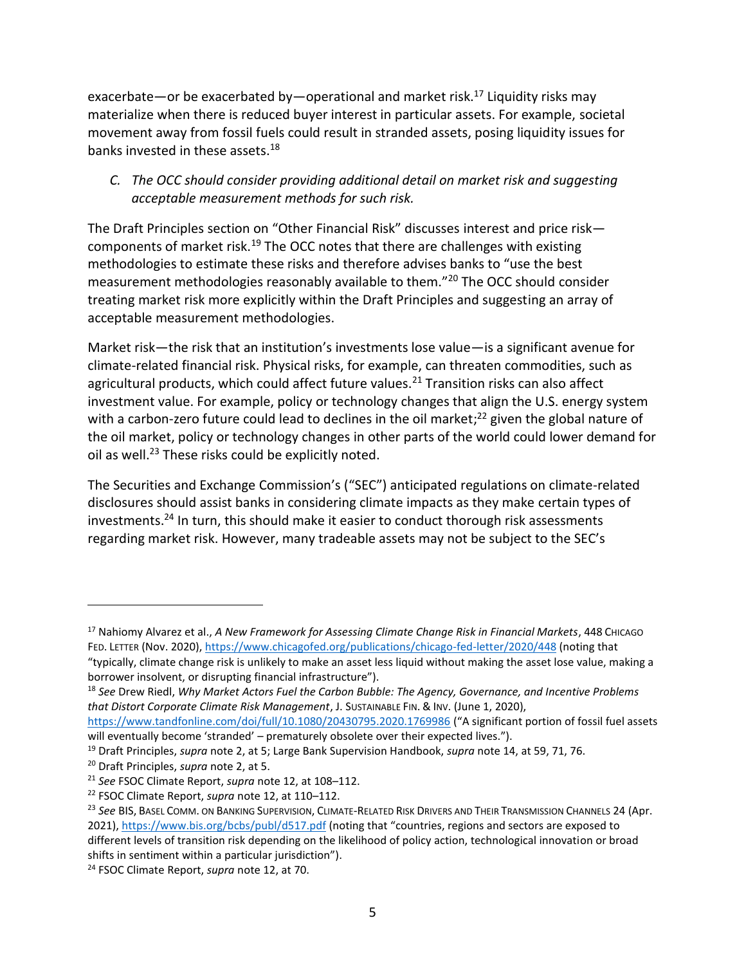exacerbate—or be exacerbated by—operational and market risk.<sup>17</sup> Liquidity risks may materialize when there is reduced buyer interest in particular assets. For example, societal movement away from fossil fuels could result in stranded assets, posing liquidity issues for banks invested in these assets.<sup>18</sup>

#### *C. The OCC should consider providing additional detail on market risk and suggesting acceptable measurement methods for such risk.*

The Draft Principles section on "Other Financial Risk" discusses interest and price risk components of market risk.<sup>19</sup> The OCC notes that there are challenges with existing methodologies to estimate these risks and therefore advises banks to "use the best measurement methodologies reasonably available to them."<sup>20</sup> The OCC should consider treating market risk more explicitly within the Draft Principles and suggesting an array of acceptable measurement methodologies.

Market risk—the risk that an institution's investments lose value—is a significant avenue for climate-related financial risk. Physical risks, for example, can threaten commodities, such as agricultural products, which could affect future values. $^{21}$  Transition risks can also affect investment value. For example, policy or technology changes that align the U.S. energy system with a carbon-zero future could lead to declines in the oil market;<sup>22</sup> given the global nature of the oil market, policy or technology changes in other parts of the world could lower demand for oil as well.<sup>23</sup> These risks could be explicitly noted.

The Securities and Exchange Commission's ("SEC") anticipated regulations on climate-related disclosures should assist banks in considering climate impacts as they make certain types of investments.<sup>24</sup> In turn, this should make it easier to conduct thorough risk assessments regarding market risk. However, many tradeable assets may not be subject to the SEC's

<sup>&</sup>lt;sup>17</sup> Nahiomy Alvarez et al., *A New Framework for Assessing Climate Change Risk in Financial Markets*, 448 CHICAGO FED. LETTER (Nov. 2020)[, https://www.chicagofed.org/publications/chicago-fed-letter/2020/448](https://www.chicagofed.org/publications/chicago-fed-letter/2020/448) (noting that

<sup>&</sup>quot;typically, climate change risk is unlikely to make an asset less liquid without making the asset lose value, making a borrower insolvent, or disrupting financial infrastructure").

<sup>18</sup> *See* Drew Riedl, *Why Market Actors Fuel the Carbon Bubble: The Agency, Governance, and Incentive Problems that Distort Corporate Climate Risk Management*, J. SUSTAINABLE FIN. & INV. (June 1, 2020),

<https://www.tandfonline.com/doi/full/10.1080/20430795.2020.1769986> ("A significant portion of fossil fuel assets will eventually become 'stranded' – prematurely obsolete over their expected lives.").

<sup>19</sup> Draft Principles, *supra* note [2,](#page-0-0) at 5; Large Bank Supervision Handbook, *supra* note [14,](#page-2-0) at 59, 71, 76.

<sup>20</sup> Draft Principles, *supra* note [2,](#page-0-0) at 5.

<sup>21</sup> *See* FSOC Climate Report, *supra* not[e 12,](#page-2-1) at 108–112.

<sup>22</sup> FSOC Climate Report, *supra* note [12,](#page-2-1) at 110–112.

<sup>&</sup>lt;sup>23</sup> See BIS, BASEL COMM. ON BANKING SUPERVISION, CLIMATE-RELATED RISK DRIVERS AND THEIR TRANSMISSION CHANNELS 24 (Apr. 2021),<https://www.bis.org/bcbs/publ/d517.pdf> (noting that "countries, regions and sectors are exposed to different levels of transition risk depending on the likelihood of policy action, technological innovation or broad shifts in sentiment within a particular jurisdiction").

<sup>24</sup> FSOC Climate Report, *supra* note [12,](#page-2-1) at 70.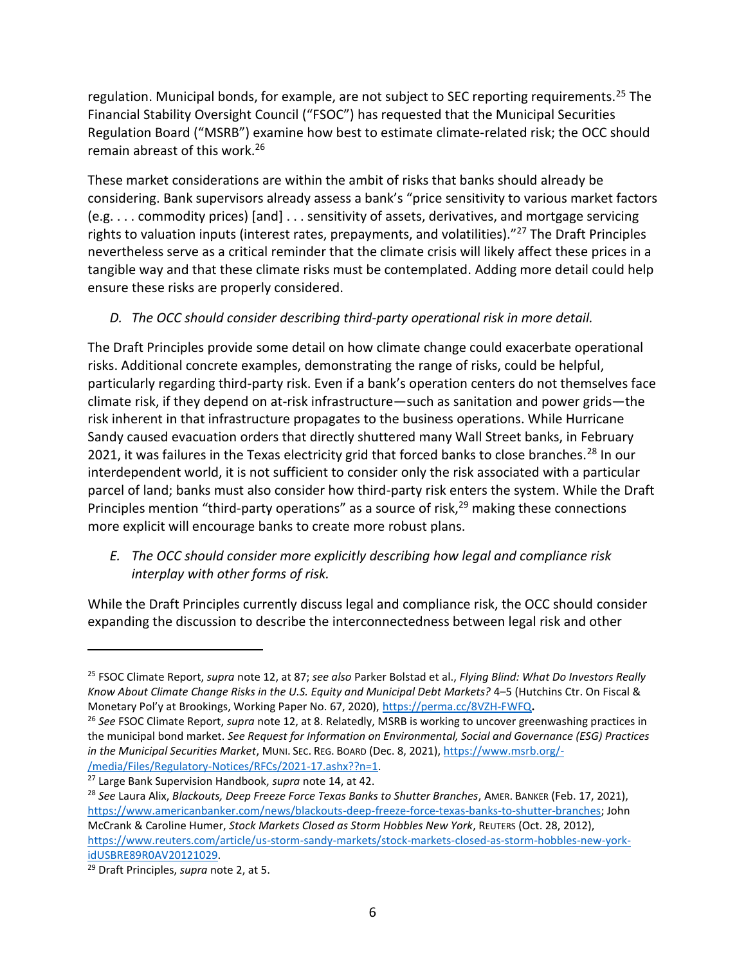regulation. Municipal bonds, for example, are not subject to SEC reporting requirements.<sup>25</sup> The Financial Stability Oversight Council ("FSOC") has requested that the Municipal Securities Regulation Board ("MSRB") examine how best to estimate climate-related risk; the OCC should remain abreast of this work.<sup>26</sup>

These market considerations are within the ambit of risks that banks should already be considering. Bank supervisors already assess a bank's "price sensitivity to various market factors (e.g. . . . commodity prices) [and] . . . sensitivity of assets, derivatives, and mortgage servicing rights to valuation inputs (interest rates, prepayments, and volatilities)."<sup>27</sup> The Draft Principles nevertheless serve as a critical reminder that the climate crisis will likely affect these prices in a tangible way and that these climate risks must be contemplated. Adding more detail could help ensure these risks are properly considered.

## *D. The OCC should consider describing third-party operational risk in more detail.*

The Draft Principles provide some detail on how climate change could exacerbate operational risks. Additional concrete examples, demonstrating the range of risks, could be helpful, particularly regarding third-party risk. Even if a bank's operation centers do not themselves face climate risk, if they depend on at-risk infrastructure—such as sanitation and power grids—the risk inherent in that infrastructure propagates to the business operations. While Hurricane Sandy caused evacuation orders that directly shuttered many Wall Street banks, in February 2021, it was failures in the Texas electricity grid that forced banks to close branches.<sup>28</sup> In our interdependent world, it is not sufficient to consider only the risk associated with a particular parcel of land; banks must also consider how third-party risk enters the system. While the Draft Principles mention "third-party operations" as a source of risk, $^{29}$  making these connections more explicit will encourage banks to create more robust plans.

## *E. The OCC should consider more explicitly describing how legal and compliance risk interplay with other forms of risk.*

While the Draft Principles currently discuss legal and compliance risk, the OCC should consider expanding the discussion to describe the interconnectedness between legal risk and other

<sup>27</sup> Large Bank Supervision Handbook, *supra* not[e 14,](#page-2-0) at 42.

<sup>25</sup> FSOC Climate Report, *supra* note [12,](#page-2-1) at 87; *see also* Parker Bolstad et al., *Flying Blind: What Do Investors Really Know About Climate Change Risks in the U.S. Equity and Municipal Debt Markets?* 4–5 (Hutchins Ctr. On Fiscal & Monetary Pol'y at Brookings, Working Paper No. 67, 2020), <https://perma.cc/8VZH-FWFQ>**.**

<sup>26</sup> *See* FSOC Climate Report, *supra* not[e 12,](#page-2-1) at 8. Relatedly, MSRB is working to uncover greenwashing practices in the municipal bond market. *See Request for Information on Environmental, Social and Governance (ESG) Practices in the Municipal Securities Market*, MUNI. SEC. REG. BOARD (Dec. 8, 2021), [https://www.msrb.org/-](https://www.msrb.org/-/media/Files/Regulatory-Notices/RFCs/2021-17.ashx??n=1) [/media/Files/Regulatory-Notices/RFCs/2021-17.ashx??n=1.](https://www.msrb.org/-/media/Files/Regulatory-Notices/RFCs/2021-17.ashx??n=1)

<sup>28</sup> *See* Laura Alix, *Blackouts, Deep Freeze Force Texas Banks to Shutter Branches*, AMER. BANKER (Feb. 17, 2021), [https://www.americanbanker.com/news/blackouts-deep-freeze-force-texas-banks-to-shutter-branches;](https://www.americanbanker.com/news/blackouts-deep-freeze-force-texas-banks-to-shutter-branches) John McCrank & Caroline Humer, *Stock Markets Closed as Storm Hobbles New York*, REUTERS (Oct. 28, 2012), [https://www.reuters.com/article/us-storm-sandy-markets/stock-markets-closed-as-storm-hobbles-new-york](https://www.reuters.com/article/us-storm-sandy-markets/stock-markets-closed-as-storm-hobbles-new-york-idUSBRE89R0AV20121029)[idUSBRE89R0AV20121029.](https://www.reuters.com/article/us-storm-sandy-markets/stock-markets-closed-as-storm-hobbles-new-york-idUSBRE89R0AV20121029)

<sup>29</sup> Draft Principles, *supra* note [2,](#page-0-0) at 5.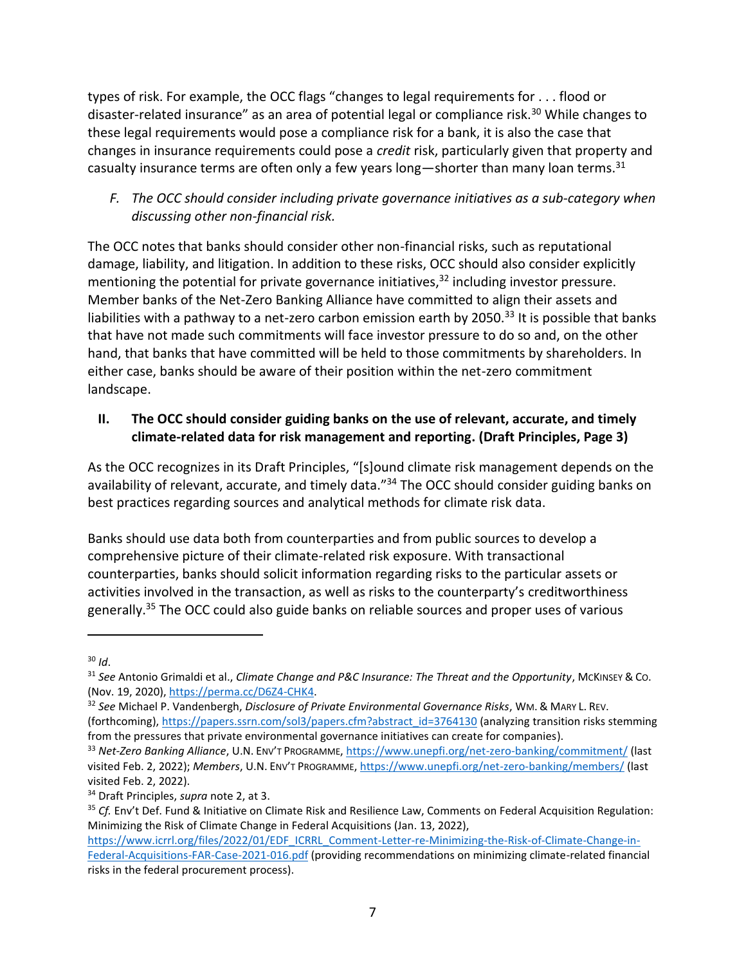types of risk. For example, the OCC flags "changes to legal requirements for . . . flood or disaster-related insurance" as an area of potential legal or compliance risk.<sup>30</sup> While changes to these legal requirements would pose a compliance risk for a bank, it is also the case that changes in insurance requirements could pose a *credit* risk, particularly given that property and casualty insurance terms are often only a few years long—shorter than many loan terms.<sup>31</sup>

## *F. The OCC should consider including private governance initiatives as a sub-category when discussing other non-financial risk.*

The OCC notes that banks should consider other non-financial risks, such as reputational damage, liability, and litigation. In addition to these risks, OCC should also consider explicitly mentioning the potential for private governance initiatives,<sup>32</sup> including investor pressure. Member banks of the Net-Zero Banking Alliance have committed to align their assets and liabilities with a pathway to a net-zero carbon emission earth by 2050.<sup>33</sup> It is possible that banks that have not made such commitments will face investor pressure to do so and, on the other hand, that banks that have committed will be held to those commitments by shareholders. In either case, banks should be aware of their position within the net-zero commitment landscape.

## <span id="page-6-0"></span>**II. The OCC should consider guiding banks on the use of relevant, accurate, and timely climate-related data for risk management and reporting. (Draft Principles, Page 3)**

As the OCC recognizes in its Draft Principles, "[s]ound climate risk management depends on the availability of relevant, accurate, and timely data."<sup>34</sup> The OCC should consider guiding banks on best practices regarding sources and analytical methods for climate risk data.

Banks should use data both from counterparties and from public sources to develop a comprehensive picture of their climate-related risk exposure. With transactional counterparties, banks should solicit information regarding risks to the particular assets or activities involved in the transaction, as well as risks to the counterparty's creditworthiness generally.<sup>35</sup> The OCC could also guide banks on reliable sources and proper uses of various

 $30$  *Id.* 

<sup>31</sup> *See* Antonio Grimaldi et al., *Climate Change and P&C Insurance: The Threat and the Opportunity*, MCKINSEY & CO. (Nov. 19, 2020), [https://perma.cc/D6Z4-CHK4.](https://perma.cc/D6Z4-CHK4)

<sup>32</sup> *See* Michael P. Vandenbergh, *Disclosure of Private Environmental Governance Risks*, WM. & MARY L. REV. (forthcoming), [https://papers.ssrn.com/sol3/papers.cfm?abstract\\_id=3764130](https://papers.ssrn.com/sol3/papers.cfm?abstract_id=3764130) (analyzing transition risks stemming from the pressures that private environmental governance initiatives can create for companies).

<sup>33</sup> *Net-Zero Banking Alliance*, U.N. ENV'T PROGRAMME,<https://www.unepfi.org/net-zero-banking/commitment/> (last visited Feb. 2, 2022); *Members*, U.N. ENV'T PROGRAMME[, https://www.unepfi.org/net-zero-banking/members/](https://www.unepfi.org/net-zero-banking/members/) (last visited Feb. 2, 2022).

<sup>34</sup> Draft Principles, *supra* note [2,](#page-0-0) at 3.

<sup>35</sup> *Cf.* Env't Def. Fund & Initiative on Climate Risk and Resilience Law, Comments on Federal Acquisition Regulation: Minimizing the Risk of Climate Change in Federal Acquisitions (Jan. 13, 2022),

[https://www.icrrl.org/files/2022/01/EDF\\_ICRRL\\_Comment-Letter-re-Minimizing-the-Risk-of-Climate-Change-in-](https://www.icrrl.org/files/2022/01/EDF_ICRRL_Comment-Letter-re-Minimizing-the-Risk-of-Climate-Change-in-Federal-Acquisitions-FAR-Case-2021-016.pdf)[Federal-Acquisitions-FAR-Case-2021-016.pdf](https://www.icrrl.org/files/2022/01/EDF_ICRRL_Comment-Letter-re-Minimizing-the-Risk-of-Climate-Change-in-Federal-Acquisitions-FAR-Case-2021-016.pdf) (providing recommendations on minimizing climate-related financial risks in the federal procurement process).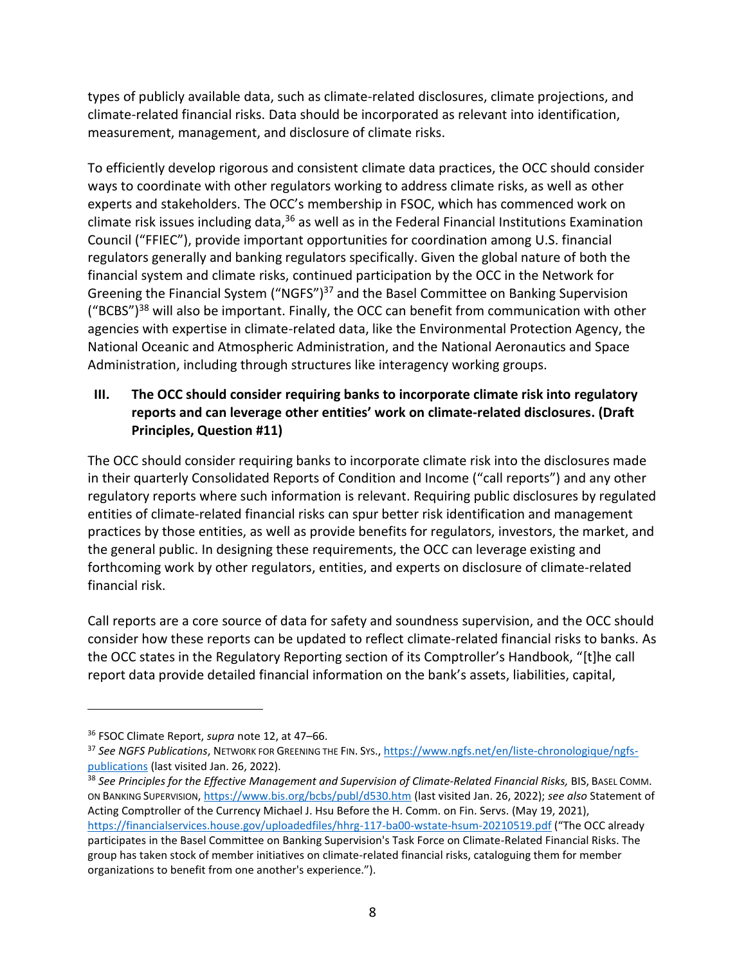types of publicly available data, such as climate-related disclosures, climate projections, and climate-related financial risks. Data should be incorporated as relevant into identification, measurement, management, and disclosure of climate risks.

To efficiently develop rigorous and consistent climate data practices, the OCC should consider ways to coordinate with other regulators working to address climate risks, as well as other experts and stakeholders. The OCC's membership in FSOC, which has commenced work on climate risk issues including data, $36$  as well as in the Federal Financial Institutions Examination Council ("FFIEC"), provide important opportunities for coordination among U.S. financial regulators generally and banking regulators specifically. Given the global nature of both the financial system and climate risks, continued participation by the OCC in the Network for Greening the Financial System ("NGFS")<sup>37</sup> and the Basel Committee on Banking Supervision  $($ "BCBS")<sup>38</sup> will also be important. Finally, the OCC can benefit from communication with other agencies with expertise in climate-related data, like the Environmental Protection Agency, the National Oceanic and Atmospheric Administration, and the National Aeronautics and Space Administration, including through structures like interagency working groups.

## <span id="page-7-0"></span>**III. The OCC should consider requiring banks to incorporate climate risk into regulatory reports and can leverage other entities' work on climate-related disclosures. (Draft Principles, Question #11)**

The OCC should consider requiring banks to incorporate climate risk into the disclosures made in their quarterly Consolidated Reports of Condition and Income ("call reports") and any other regulatory reports where such information is relevant. Requiring public disclosures by regulated entities of climate-related financial risks can spur better risk identification and management practices by those entities, as well as provide benefits for regulators, investors, the market, and the general public. In designing these requirements, the OCC can leverage existing and forthcoming work by other regulators, entities, and experts on disclosure of climate-related financial risk.

Call reports are a core source of data for safety and soundness supervision, and the OCC should consider how these reports can be updated to reflect climate-related financial risks to banks. As the OCC states in the Regulatory Reporting section of its Comptroller's Handbook, "[t]he call report data provide detailed financial information on the bank's assets, liabilities, capital,

<sup>36</sup> FSOC Climate Report, *supra* note [12,](#page-2-1) at 47–66.

<sup>37</sup> *See NGFS Publications*, NETWORK FOR GREENING THE FIN. SYS., [https://www.ngfs.net/en/liste-chronologique/ngfs](https://www.ngfs.net/en/liste-chronologique/ngfs-publications)[publications](https://www.ngfs.net/en/liste-chronologique/ngfs-publications) (last visited Jan. 26, 2022).

<sup>38</sup> *See Principles for the Effective Management and Supervision of Climate-Related Financial Risks,* BIS, BASEL COMM. ON BANKING SUPERVISION, <https://www.bis.org/bcbs/publ/d530.htm> (last visited Jan. 26, 2022); *see also* Statement of Acting Comptroller of the Currency Michael J. Hsu Before the H. Comm. on Fin. Servs. (May 19, 2021), <https://financialservices.house.gov/uploadedfiles/hhrg-117-ba00-wstate-hsum-20210519.pdf> ("The OCC already participates in the Basel Committee on Banking Supervision's Task Force on Climate-Related Financial Risks. The group has taken stock of member initiatives on climate-related financial risks, cataloguing them for member organizations to benefit from one another's experience.").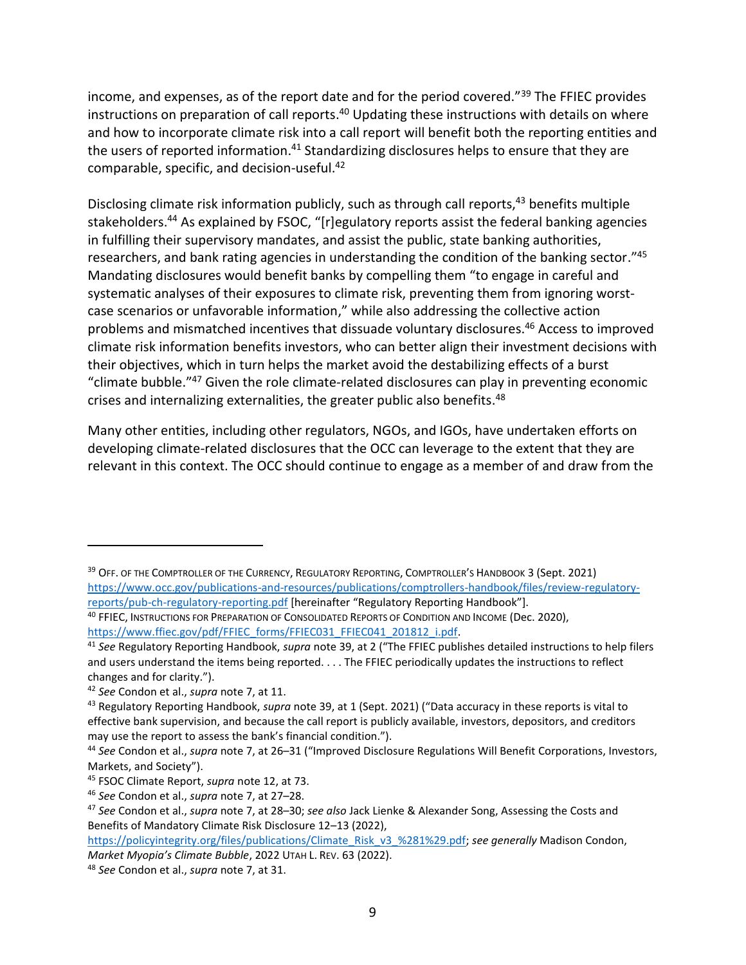<span id="page-8-0"></span>income, and expenses, as of the report date and for the period covered."<sup>39</sup> The FFIEC provides instructions on preparation of call reports.<sup>40</sup> Updating these instructions with details on where and how to incorporate climate risk into a call report will benefit both the reporting entities and the users of reported information.<sup>41</sup> Standardizing disclosures helps to ensure that they are comparable, specific, and decision-useful.<sup>42</sup>

Disclosing climate risk information publicly, such as through call reports,<sup>43</sup> benefits multiple stakeholders.<sup>44</sup> As explained by FSOC, "[r]egulatory reports assist the federal banking agencies in fulfilling their supervisory mandates, and assist the public, state banking authorities, researchers, and bank rating agencies in understanding the condition of the banking sector."<sup>45</sup> Mandating disclosures would benefit banks by compelling them "to engage in careful and systematic analyses of their exposures to climate risk, preventing them from ignoring worstcase scenarios or unfavorable information," while also addressing the collective action problems and mismatched incentives that dissuade voluntary disclosures.<sup>46</sup> Access to improved climate risk information benefits investors, who can better align their investment decisions with their objectives, which in turn helps the market avoid the destabilizing effects of a burst "climate bubble."<sup>47</sup> Given the role climate-related disclosures can play in preventing economic crises and internalizing externalities, the greater public also benefits.<sup>48</sup>

<span id="page-8-1"></span>Many other entities, including other regulators, NGOs, and IGOs, have undertaken efforts on developing climate-related disclosures that the OCC can leverage to the extent that they are relevant in this context. The OCC should continue to engage as a member of and draw from the

<sup>&</sup>lt;sup>39</sup> Off. Of the Comptroller of the Currency, Regulatory Reporting, Comptroller's Handbook 3 (Sept. 2021) [https://www.occ.gov/publications-and-resources/publications/comptrollers-handbook/files/review-regulatory](https://www.occ.gov/publications-and-resources/publications/comptrollers-handbook/files/review-regulatory-reports/pub-ch-regulatory-reporting.pdf)[reports/pub-ch-regulatory-reporting.pdf](https://www.occ.gov/publications-and-resources/publications/comptrollers-handbook/files/review-regulatory-reports/pub-ch-regulatory-reporting.pdf) [hereinafter "Regulatory Reporting Handbook"].

<sup>40</sup> FFIEC, INSTRUCTIONS FOR PREPARATION OF CONSOLIDATED REPORTS OF CONDITION AND INCOME (Dec. 2020), [https://www.ffiec.gov/pdf/FFIEC\\_forms/FFIEC031\\_FFIEC041\\_201812\\_i.pdf.](https://www.ffiec.gov/pdf/FFIEC_forms/FFIEC031_FFIEC041_201812_i.pdf)

<sup>41</sup> *See* Regulatory Reporting Handbook, *supra* not[e 39](#page-8-0), at 2 ("The FFIEC publishes detailed instructions to help filers and users understand the items being reported. . . . The FFIEC periodically updates the instructions to reflect changes and for clarity.").

<sup>42</sup> *See* Condon et al., *supra* note [7,](#page-2-2) at 11.

<sup>43</sup> Regulatory Reporting Handbook, *supra* note [39](#page-8-0), at 1 (Sept. 2021) ("Data accuracy in these reports is vital to effective bank supervision, and because the call report is publicly available, investors, depositors, and creditors may use the report to assess the bank's financial condition.").

<sup>44</sup> *See* Condon et al., *supra* note [7,](#page-2-2) at 26–31 ("Improved Disclosure Regulations Will Benefit Corporations, Investors, Markets, and Society").

<sup>45</sup> FSOC Climate Report, *supra* note [12,](#page-2-1) at 73.

<sup>46</sup> *See* Condon et al., *supra* note [7,](#page-2-2) at 27–28.

<sup>47</sup> *See* Condon et al., *supra* note [7,](#page-2-2) at 28–30; *see also* Jack Lienke & Alexander Song, Assessing the Costs and Benefits of Mandatory Climate Risk Disclosure 12–13 (2022),

[https://policyintegrity.org/files/publications/Climate\\_Risk\\_v3\\_%281%29.pdf;](https://policyintegrity.org/files/publications/Climate_Risk_v3_%281%29.pdf) *see generally* Madison Condon, *Market Myopia's Climate Bubble*, 2022 UTAH L. REV. 63 (2022).

<sup>48</sup> *See* Condon et al., *supra* note [7,](#page-2-2) at 31.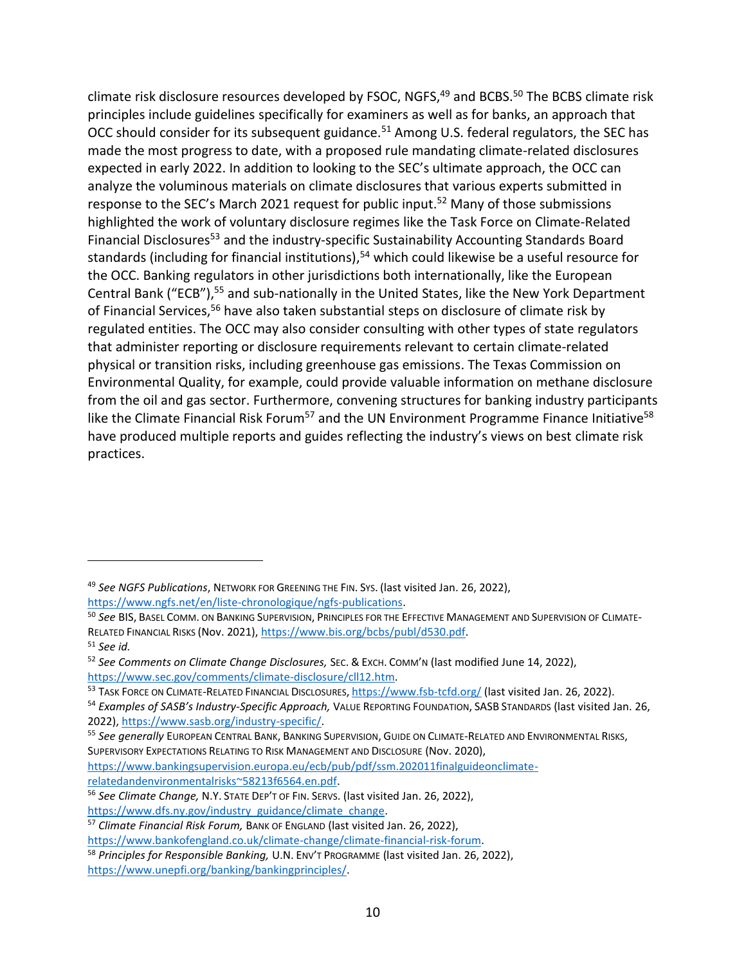climate risk disclosure resources developed by FSOC, NGFS,<sup>49</sup> and BCBS.<sup>50</sup> The BCBS climate risk principles include guidelines specifically for examiners as well as for banks, an approach that OCC should consider for its subsequent guidance.<sup>51</sup> Among U.S. federal regulators, the SEC has made the most progress to date, with a proposed rule mandating climate-related disclosures expected in early 2022. In addition to looking to the SEC's ultimate approach, the OCC can analyze the voluminous materials on climate disclosures that various experts submitted in response to the SEC's March 2021 request for public input.<sup>52</sup> Many of those submissions highlighted the work of voluntary disclosure regimes like the Task Force on Climate-Related Financial Disclosures<sup>53</sup> and the industry-specific Sustainability Accounting Standards Board standards (including for financial institutions), <sup>54</sup> which could likewise be a useful resource for the OCC. Banking regulators in other jurisdictions both internationally, like the European Central Bank ("ECB"),<sup>55</sup> and sub-nationally in the United States, like the New York Department of Financial Services,<sup>56</sup> have also taken substantial steps on disclosure of climate risk by regulated entities. The OCC may also consider consulting with other types of state regulators that administer reporting or disclosure requirements relevant to certain climate-related physical or transition risks, including greenhouse gas emissions. The Texas Commission on Environmental Quality, for example, could provide valuable information on methane disclosure from the oil and gas sector. Furthermore, convening structures for banking industry participants like the Climate Financial Risk Forum<sup>57</sup> and the UN Environment Programme Finance Initiative<sup>58</sup> have produced multiple reports and guides reflecting the industry's views on best climate risk practices.

<sup>49</sup> *See NGFS Publications*, NETWORK FOR GREENING THE FIN. SYS. (last visited Jan. 26, 2022), [https://www.ngfs.net/en/liste-chronologique/ngfs-publications.](https://www.ngfs.net/en/liste-chronologique/ngfs-publications)

<sup>50</sup> *See* BIS, BASEL COMM. ON BANKING SUPERVISION, PRINCIPLES FOR THE EFFECTIVE MANAGEMENT AND SUPERVISION OF CLIMATE-RELATED FINANCIAL RISKS (Nov. 2021)[, https://www.bis.org/bcbs/publ/d530.pdf.](https://www.bis.org/bcbs/publ/d530.pdf)

<sup>51</sup> *See id.*

<sup>52</sup> *See Comments on Climate Change Disclosures,* SEC. & EXCH. COMM'N (last modified June 14, 2022), [https://www.sec.gov/comments/climate-disclosure/cll12.htm.](https://www.sec.gov/comments/climate-disclosure/cll12.htm)

<sup>53</sup> TASK FORCE ON CLIMATE-RELATED FINANCIAL DISCLOSURES, <https://www.fsb-tcfd.org/> (last visited Jan. 26, 2022).

<sup>54</sup> *Examples of SASB's Industry-Specific Approach,* VALUE REPORTING FOUNDATION, SASB STANDARDS (last visited Jan. 26, 2022), [https://www.sasb.org/industry-specific/.](https://www.sasb.org/industry-specific/)

<sup>55</sup> *See generally* EUROPEAN CENTRAL BANK, BANKING SUPERVISION, GUIDE ON CLIMATE-RELATED AND ENVIRONMENTAL RISKS, SUPERVISORY EXPECTATIONS RELATING TO RISK MANAGEMENT AND DISCLOSURE (Nov. 2020),

[https://www.bankingsupervision.europa.eu/ecb/pub/pdf/ssm.202011finalguideonclimate](https://www.bankingsupervision.europa.eu/ecb/pub/pdf/ssm.202011finalguideonclimate-relatedandenvironmentalrisks~58213f6564.en.pdf)[relatedandenvironmentalrisks~58213f6564.en.pdf.](https://www.bankingsupervision.europa.eu/ecb/pub/pdf/ssm.202011finalguideonclimate-relatedandenvironmentalrisks~58213f6564.en.pdf)

<sup>56</sup> *See Climate Change,* N.Y. STATE DEP'T OF FIN. SERVS. (last visited Jan. 26, 2022), [https://www.dfs.ny.gov/industry\\_guidance/climate\\_change.](https://www.dfs.ny.gov/industry_guidance/climate_change)

<sup>57</sup> *Climate Financial Risk Forum,* BANK OF ENGLAND (last visited Jan. 26, 2022),

[https://www.bankofengland.co.uk/climate-change/climate-financial-risk-forum.](https://www.bankofengland.co.uk/climate-change/climate-financial-risk-forum)

<sup>58</sup> *Principles for Responsible Banking,* U.N. ENV'T PROGRAMME (last visited Jan. 26, 2022), [https://www.unepfi.org/banking/bankingprinciples/.](https://www.unepfi.org/banking/bankingprinciples/)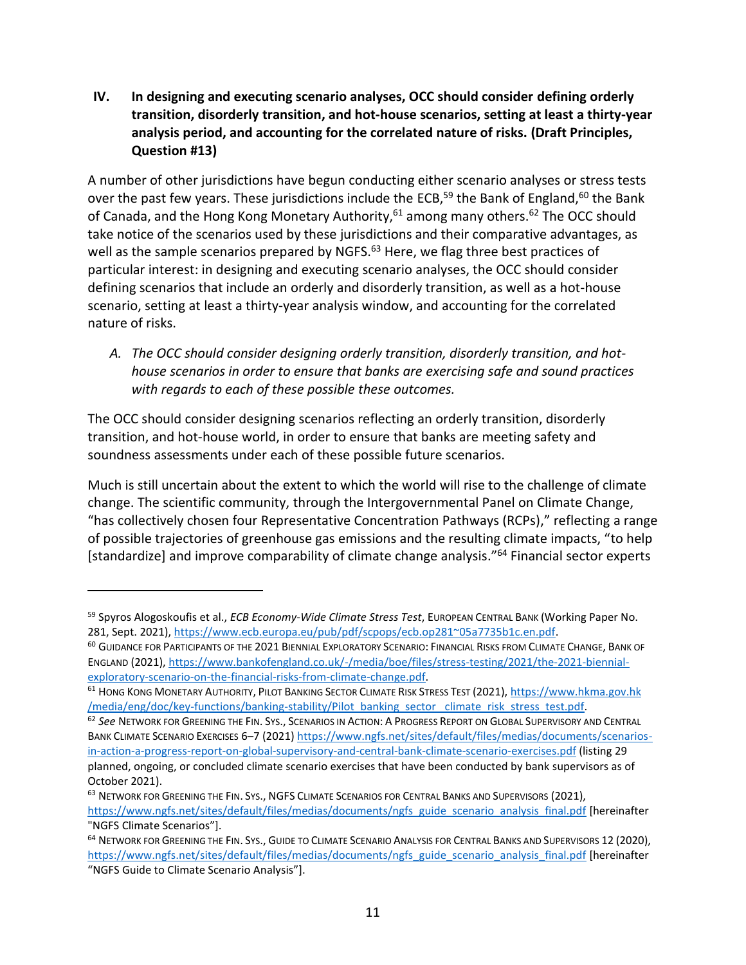<span id="page-10-0"></span>**IV. In designing and executing scenario analyses, OCC should consider defining orderly transition, disorderly transition, and hot-house scenarios, setting at least a thirty-year analysis period, and accounting for the correlated nature of risks. (Draft Principles, Question #13)**

<span id="page-10-5"></span><span id="page-10-4"></span><span id="page-10-3"></span>A number of other jurisdictions have begun conducting either scenario analyses or stress tests over the past few years. These jurisdictions include the ECB,<sup>59</sup> the Bank of England,<sup>60</sup> the Bank of Canada, and the Hong Kong Monetary Authority,  $61$  among many others.  $62$  The OCC should take notice of the scenarios used by these jurisdictions and their comparative advantages, as well as the sample scenarios prepared by NGFS.<sup>63</sup> Here, we flag three best practices of particular interest: in designing and executing scenario analyses, the OCC should consider defining scenarios that include an orderly and disorderly transition, as well as a hot-house scenario, setting at least a thirty-year analysis window, and accounting for the correlated nature of risks.

<span id="page-10-1"></span>*A. The OCC should consider designing orderly transition, disorderly transition, and hothouse scenarios in order to ensure that banks are exercising safe and sound practices with regards to each of these possible these outcomes.* 

The OCC should consider designing scenarios reflecting an orderly transition, disorderly transition, and hot-house world, in order to ensure that banks are meeting safety and soundness assessments under each of these possible future scenarios.

Much is still uncertain about the extent to which the world will rise to the challenge of climate change. The scientific community, through the Intergovernmental Panel on Climate Change, "has collectively chosen four Representative Concentration Pathways (RCPs)," reflecting a range of possible trajectories of greenhouse gas emissions and the resulting climate impacts, "to help [standardize] and improve comparability of climate change analysis."<sup>64</sup> Financial sector experts

<span id="page-10-2"></span><sup>59</sup> Spyros Alogoskoufis et al., *ECB Economy-Wide Climate Stress Test*, EUROPEAN CENTRAL BANK (Working Paper No. 281, Sept. 2021), [https://www.ecb.europa.eu/pub/pdf/scpops/ecb.op281~05a7735b1c.en.pdf.](https://www.ecb.europa.eu/pub/pdf/scpops/ecb.op281~05a7735b1c.en.pdf)

<sup>&</sup>lt;sup>60</sup> GUIDANCE FOR PARTICIPANTS OF THE 2021 BIENNIAL EXPLORATORY SCENARIO: FINANCIAL RISKS FROM CLIMATE CHANGE, BANK OF ENGLAND (2021)[, https://www.bankofengland.co.uk/-/media/boe/files/stress-testing/2021/the-2021-biennial](https://www.bankofengland.co.uk/-/media/boe/files/stress-testing/2021/the-2021-biennial-exploratory-scenario-on-the-financial-risks-from-climate-change.pdf)[exploratory-scenario-on-the-financial-risks-from-climate-change.pdf.](https://www.bankofengland.co.uk/-/media/boe/files/stress-testing/2021/the-2021-biennial-exploratory-scenario-on-the-financial-risks-from-climate-change.pdf)

<sup>61</sup> HONG KONG MONETARY AUTHORITY, PILOT BANKING SECTOR CLIMATE RISK STRESS TEST (2021), https://www.hkma.gov.hk /media/eng/doc/key-functions/banking-stability/Pilot\_banking\_sector\_ climate\_risk\_stress\_test.pdf.

<sup>62</sup> *See* NETWORK FOR GREENING THE FIN. SYS., SCENARIOS IN ACTION: A PROGRESS REPORT ON GLOBAL SUPERVISORY AND CENTRAL BANK CLIMATE SCENARIO EXERCISES 6–7 (2021) [https://www.ngfs.net/sites/default/files/medias/documents/scenarios](https://www.ngfs.net/sites/default/files/medias/documents/scenarios-in-action-a-progress-report-on-global-supervisory-and-central-bank-climate-scenario-exercises.pdf)[in-action-a-progress-report-on-global-supervisory-and-central-bank-climate-scenario-exercises.pdf](https://www.ngfs.net/sites/default/files/medias/documents/scenarios-in-action-a-progress-report-on-global-supervisory-and-central-bank-climate-scenario-exercises.pdf) (listing 29 planned, ongoing, or concluded climate scenario exercises that have been conducted by bank supervisors as of October 2021).

<sup>63</sup> NETWORK FOR GREENING THE FIN. SYS., NGFS CLIMATE SCENARIOS FOR CENTRAL BANKS AND SUPERVISORS (2021), [https://www.ngfs.net/sites/default/files/medias/documents/ngfs\\_guide\\_scenario\\_analysis\\_final.pdf](https://www.ngfs.net/sites/default/files/medias/documents/ngfs_guide_scenario_analysis_final.pdf) [hereinafter "NGFS Climate Scenarios"].

<sup>64</sup> NETWORK FOR GREENING THE FIN. SYS., GUIDE TO CLIMATE SCENARIO ANALYSIS FOR CENTRAL BANKS AND SUPERVISORS 12 (2020), [https://www.ngfs.net/sites/default/files/medias/documents/ngfs\\_guide\\_scenario\\_analysis\\_final.pdf](https://www.ngfs.net/sites/default/files/medias/documents/ngfs_guide_scenario_analysis_final.pdf) [hereinafter "NGFS Guide to Climate Scenario Analysis"].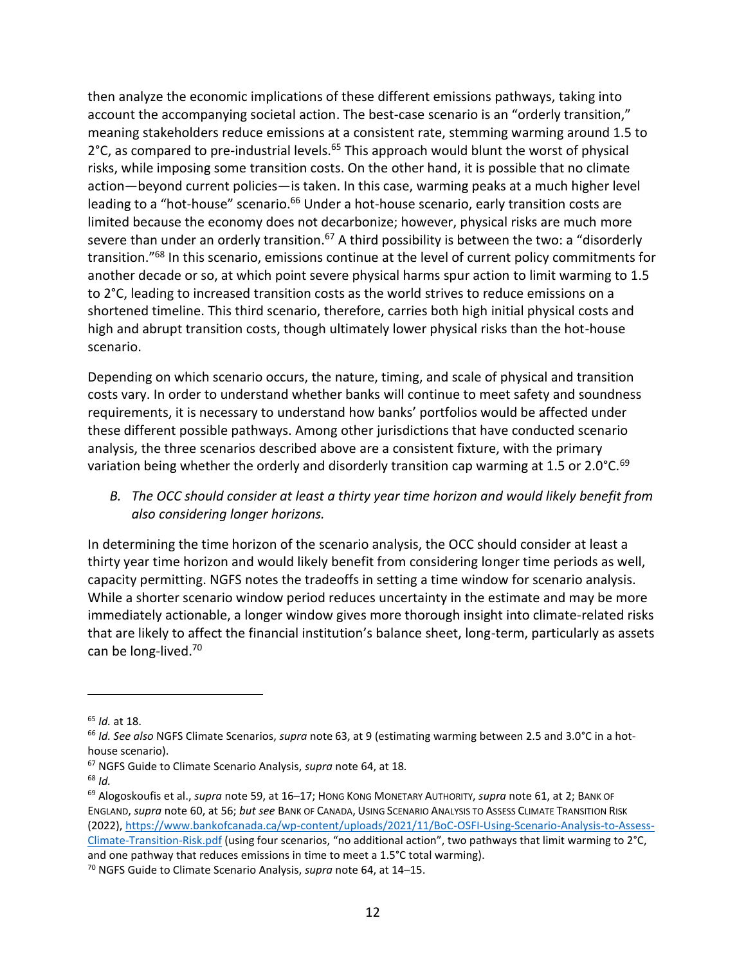then analyze the economic implications of these different emissions pathways, taking into account the accompanying societal action. The best-case scenario is an "orderly transition," meaning stakeholders reduce emissions at a consistent rate, stemming warming around 1.5 to  $2^{\circ}$ C, as compared to pre-industrial levels.<sup>65</sup> This approach would blunt the worst of physical risks, while imposing some transition costs. On the other hand, it is possible that no climate action—beyond current policies—is taken. In this case, warming peaks at a much higher level leading to a "hot-house" scenario.<sup>66</sup> Under a hot-house scenario, early transition costs are limited because the economy does not decarbonize; however, physical risks are much more severe than under an orderly transition.<sup>67</sup> A third possibility is between the two: a "disorderly transition."<sup>68</sup> In this scenario, emissions continue at the level of current policy commitments for another decade or so, at which point severe physical harms spur action to limit warming to 1.5 to 2°C, leading to increased transition costs as the world strives to reduce emissions on a shortened timeline. This third scenario, therefore, carries both high initial physical costs and high and abrupt transition costs, though ultimately lower physical risks than the hot-house scenario.

Depending on which scenario occurs, the nature, timing, and scale of physical and transition costs vary. In order to understand whether banks will continue to meet safety and soundness requirements, it is necessary to understand how banks' portfolios would be affected under these different possible pathways. Among other jurisdictions that have conducted scenario analysis, the three scenarios described above are a consistent fixture, with the primary variation being whether the orderly and disorderly transition cap warming at 1.5 or 2.0°C.<sup>69</sup>

*B. The OCC should consider at least a thirty year time horizon and would likely benefit from also considering longer horizons.*

In determining the time horizon of the scenario analysis, the OCC should consider at least a thirty year time horizon and would likely benefit from considering longer time periods as well, capacity permitting. NGFS notes the tradeoffs in setting a time window for scenario analysis. While a shorter scenario window period reduces uncertainty in the estimate and may be more immediately actionable, a longer window gives more thorough insight into climate-related risks that are likely to affect the financial institution's balance sheet, long-term, particularly as assets can be long-lived. 70

<sup>65</sup> *Id.* at 18.

<sup>66</sup> *Id. See also* NGFS Climate Scenarios, *supra* note [63,](#page-10-1) at 9 (estimating warming between 2.5 and 3.0°C in a hothouse scenario).

<sup>67</sup> NGFS Guide to Climate Scenario Analysis, *supra* not[e 64,](#page-10-2) at 18*.*

<sup>68</sup> *Id.*

<sup>69</sup> Alogoskoufis et al., *supra* note [59,](#page-10-3) at 16–17; HONG KONG MONETARY AUTHORITY, *supra* note [61,](#page-10-4) at 2; BANK OF ENGLAND, *supra* note [60,](#page-10-5) at 56; *but see* BANK OF CANADA, USING SCENARIO ANALYSIS TO ASSESS CLIMATE TRANSITION RISK (2022), [https://www.bankofcanada.ca/wp-content/uploads/2021/11/BoC-OSFI-Using-Scenario-Analysis-to-Assess-](https://www.bankofcanada.ca/wp-content/uploads/2021/11/BoC-OSFI-Using-Scenario-Analysis-to-Assess-Climate-Transition-Risk.pdf)[Climate-Transition-Risk.pdf](https://www.bankofcanada.ca/wp-content/uploads/2021/11/BoC-OSFI-Using-Scenario-Analysis-to-Assess-Climate-Transition-Risk.pdf) (using four scenarios, "no additional action", two pathways that limit warming to 2°C, and one pathway that reduces emissions in time to meet a 1.5°C total warming).

<sup>70</sup> NGFS Guide to Climate Scenario Analysis, *supra* not[e 64,](#page-10-2) at 14–15.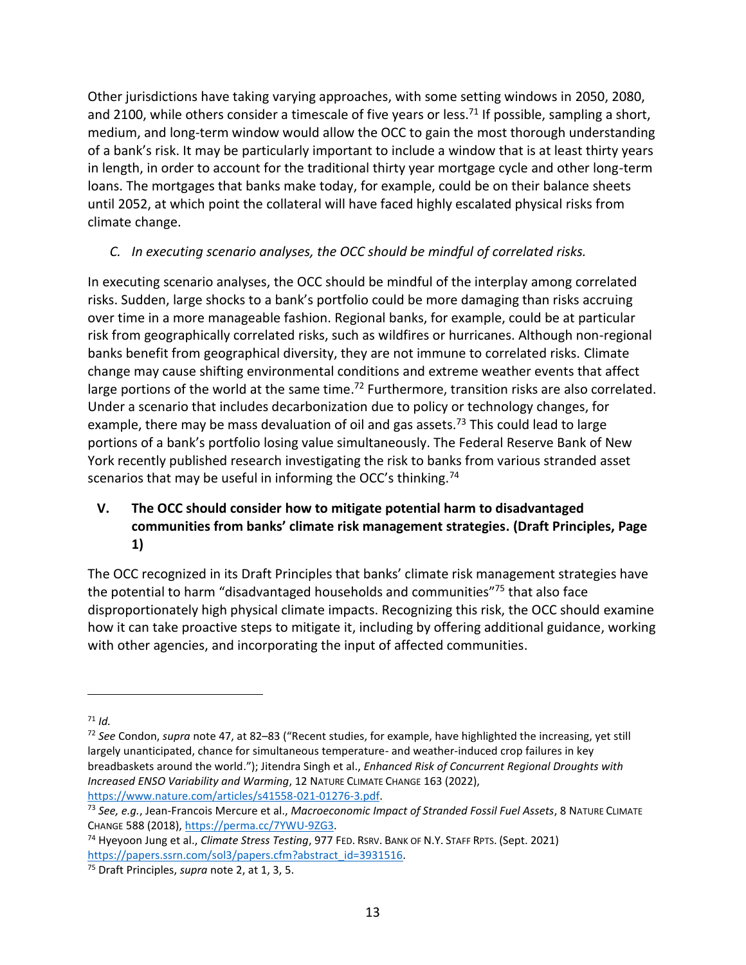Other jurisdictions have taking varying approaches, with some setting windows in 2050, 2080, and 2100, while others consider a timescale of five years or less.<sup>71</sup> If possible, sampling a short, medium, and long-term window would allow the OCC to gain the most thorough understanding of a bank's risk. It may be particularly important to include a window that is at least thirty years in length, in order to account for the traditional thirty year mortgage cycle and other long-term loans. The mortgages that banks make today, for example, could be on their balance sheets until 2052, at which point the collateral will have faced highly escalated physical risks from climate change.

# *C. In executing scenario analyses, the OCC should be mindful of correlated risks.*

In executing scenario analyses, the OCC should be mindful of the interplay among correlated risks. Sudden, large shocks to a bank's portfolio could be more damaging than risks accruing over time in a more manageable fashion. Regional banks, for example, could be at particular risk from geographically correlated risks, such as wildfires or hurricanes. Although non-regional banks benefit from geographical diversity, they are not immune to correlated risks. Climate change may cause shifting environmental conditions and extreme weather events that affect large portions of the world at the same time.<sup>72</sup> Furthermore, transition risks are also correlated. Under a scenario that includes decarbonization due to policy or technology changes, for example, there may be mass devaluation of oil and gas assets.<sup>73</sup> This could lead to large portions of a bank's portfolio losing value simultaneously. The Federal Reserve Bank of New York recently published research investigating the risk to banks from various stranded asset scenarios that may be useful in informing the OCC's thinking.<sup>74</sup>

# <span id="page-12-0"></span>**V. The OCC should consider how to mitigate potential harm to disadvantaged communities from banks' climate risk management strategies. (Draft Principles, Page 1)**

The OCC recognized in its Draft Principles that banks' climate risk management strategies have the potential to harm "disadvantaged households and communities"<sup>75</sup> that also face disproportionately high physical climate impacts. Recognizing this risk, the OCC should examine how it can take proactive steps to mitigate it, including by offering additional guidance, working with other agencies, and incorporating the input of affected communities.

 $71$  *Id.* 

<sup>72</sup> *See* Condon, *supra* not[e 47,](#page-8-1) at 82–83 ("Recent studies, for example, have highlighted the increasing, yet still largely unanticipated, chance for simultaneous temperature- and weather-induced crop failures in key breadbaskets around the world."); Jitendra Singh et al., *Enhanced Risk of Concurrent Regional Droughts with Increased ENSO Variability and Warming*, 12 NATURE CLIMATE CHANGE 163 (2022), [https://www.nature.com/articles/s41558-021-01276-3.pdf.](https://www.nature.com/articles/s41558-021-01276-3.pdf)

<sup>73</sup> *See, e.g.*, Jean-Francois Mercure et al., *Macroeconomic Impact of Stranded Fossil Fuel Assets*, 8 NATURE CLIMATE CHANGE 588 (2018), [https://perma.cc/7YWU-9ZG3.](https://perma.cc/7YWU-9ZG3)

<sup>74</sup> Hyeyoon Jung et al., *Climate Stress Testing*, 977 FED. RSRV. BANK OF N.Y. STAFF RPTS. (Sept. 2021) [https://papers.ssrn.com/sol3/papers.cfm?abstract\\_id=3931516.](https://papers.ssrn.com/sol3/papers.cfm?abstract_id=3931516)

<sup>75</sup> Draft Principles, *supra* note [2,](#page-0-0) at 1, 3, 5.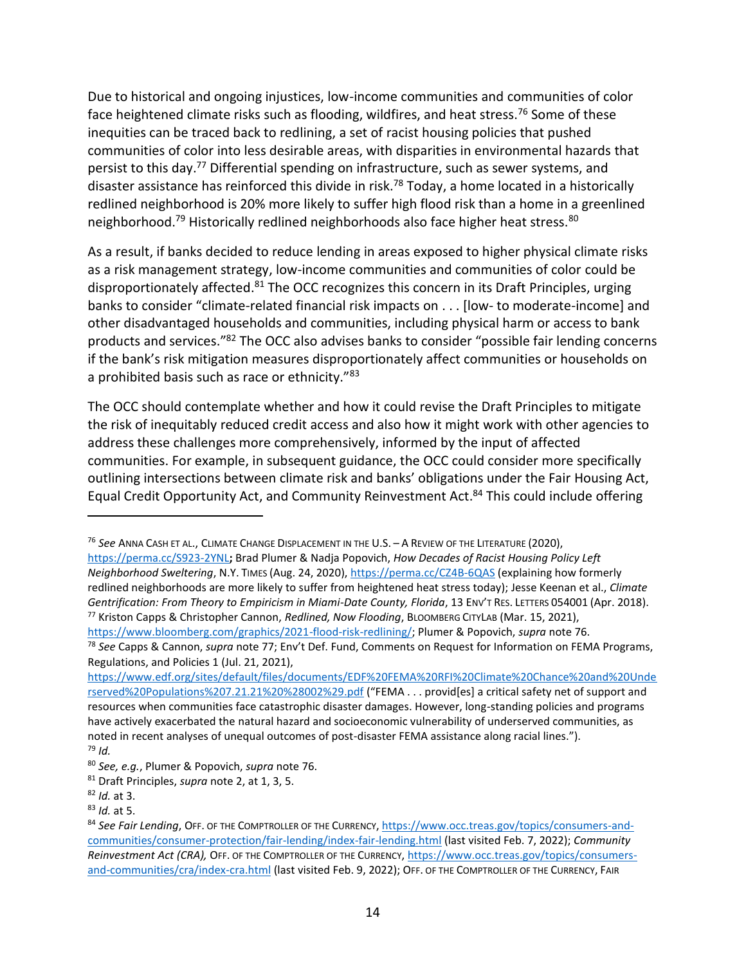<span id="page-13-1"></span><span id="page-13-0"></span>Due to historical and ongoing injustices, low-income communities and communities of color face heightened climate risks such as flooding, wildfires, and heat stress.<sup>76</sup> Some of these inequities can be traced back to redlining, a set of racist housing policies that pushed communities of color into less desirable areas, with disparities in environmental hazards that persist to this day.<sup>77</sup> Differential spending on infrastructure, such as sewer systems, and disaster assistance has reinforced this divide in risk.<sup>78</sup> Today, a home located in a historically redlined neighborhood is 20% more likely to suffer high flood risk than a home in a greenlined neighborhood.<sup>79</sup> Historically redlined neighborhoods also face higher heat stress.<sup>80</sup>

As a result, if banks decided to reduce lending in areas exposed to higher physical climate risks as a risk management strategy, low-income communities and communities of color could be disproportionately affected.<sup>81</sup> The OCC recognizes this concern in its Draft Principles, urging banks to consider "climate-related financial risk impacts on . . . [low- to moderate-income] and other disadvantaged households and communities, including physical harm or access to bank products and services."<sup>82</sup> The OCC also advises banks to consider "possible fair lending concerns if the bank's risk mitigation measures disproportionately affect communities or households on a prohibited basis such as race or ethnicity."<sup>83</sup>

The OCC should contemplate whether and how it could revise the Draft Principles to mitigate the risk of inequitably reduced credit access and also how it might work with other agencies to address these challenges more comprehensively, informed by the input of affected communities. For example, in subsequent guidance, the OCC could consider more specifically outlining intersections between climate risk and banks' obligations under the Fair Housing Act, Equal Credit Opportunity Act, and Community Reinvestment Act.<sup>84</sup> This could include offering

<sup>76</sup> *See* ANNA CASH ET AL., CLIMATE CHANGE DISPLACEMENT IN THE U.S. – A REVIEW OF THE LITERATURE (2020), <https://perma.cc/S923-2YNL>**;** Brad Plumer & Nadja Popovich, *How Decades of Racist Housing Policy Left Neighborhood Sweltering*, N.Y. TIMES (Aug. 24, 2020),<https://perma.cc/CZ4B-6QAS> (explaining how formerly redlined neighborhoods are more likely to suffer from heightened heat stress today); Jesse Keenan et al., *Climate Gentrification: From Theory to Empiricism in Miami-Date County, Florida*, 13 ENV'T RES. LETTERS 054001 (Apr. 2018). <sup>77</sup> Kriston Capps & Christopher Cannon, *Redlined, Now Flooding*, BLOOMBERG CITYLAB (Mar. 15, 2021), [https://www.bloomberg.com/graphics/2021-flood-risk-redlining/;](https://www.bloomberg.com/graphics/2021-flood-risk-redlining/) Plumer & Popovich, *supra* note [76.](#page-13-0)

<sup>78</sup> *See* Capps & Cannon, *supra* note [77](#page-13-1); Env't Def. Fund, Comments on Request for Information on FEMA Programs, Regulations, and Policies 1 (Jul. 21, 2021),

[https://www.edf.org/sites/default/files/documents/EDF%20FEMA%20RFI%20Climate%20Chance%20and%20Unde](https://www.edf.org/sites/default/files/documents/EDF%20FEMA%20RFI%20Climate%20Chance%20and%20Underserved%20Populations%207.21.21%20%28002%29.pdf) [rserved%20Populations%207.21.21%20%28002%29.pdf](https://www.edf.org/sites/default/files/documents/EDF%20FEMA%20RFI%20Climate%20Chance%20and%20Underserved%20Populations%207.21.21%20%28002%29.pdf) ("FEMA . . . provid[es] a critical safety net of support and resources when communities face catastrophic disaster damages. However, long-standing policies and programs have actively exacerbated the natural hazard and socioeconomic vulnerability of underserved communities, as noted in recent analyses of unequal outcomes of post-disaster FEMA assistance along racial lines."). <sup>79</sup> *Id.*

<sup>80</sup> *See, e.g.*, Plumer & Popovich, *supra* note [76.](#page-13-0)

<sup>81</sup> Draft Principles, *supra* note [2,](#page-0-0) at 1, 3, 5.

<sup>82</sup> *Id.* at 3.

<sup>83</sup> *Id.* at 5.

<sup>84</sup> *See Fair Lending*, OFF. OF THE COMPTROLLER OF THE CURRENCY, [https://www.occ.treas.gov/topics/consumers-and](https://www.occ.treas.gov/topics/consumers-and-communities/consumer-protection/fair-lending/index-fair-lending.html)[communities/consumer-protection/fair-lending/index-fair-lending.html](https://www.occ.treas.gov/topics/consumers-and-communities/consumer-protection/fair-lending/index-fair-lending.html) (last visited Feb. 7, 2022); *Community Reinvestment Act (CRA),* OFF. OF THE COMPTROLLER OF THE CURRENCY[, https://www.occ.treas.gov/topics/consumers](https://www.occ.treas.gov/topics/consumers-and-communities/cra/index-cra.html)[and-communities/cra/index-cra.html](https://www.occ.treas.gov/topics/consumers-and-communities/cra/index-cra.html) (last visited Feb. 9, 2022); OFF. OF THE COMPTROLLER OF THE CURRENCY, FAIR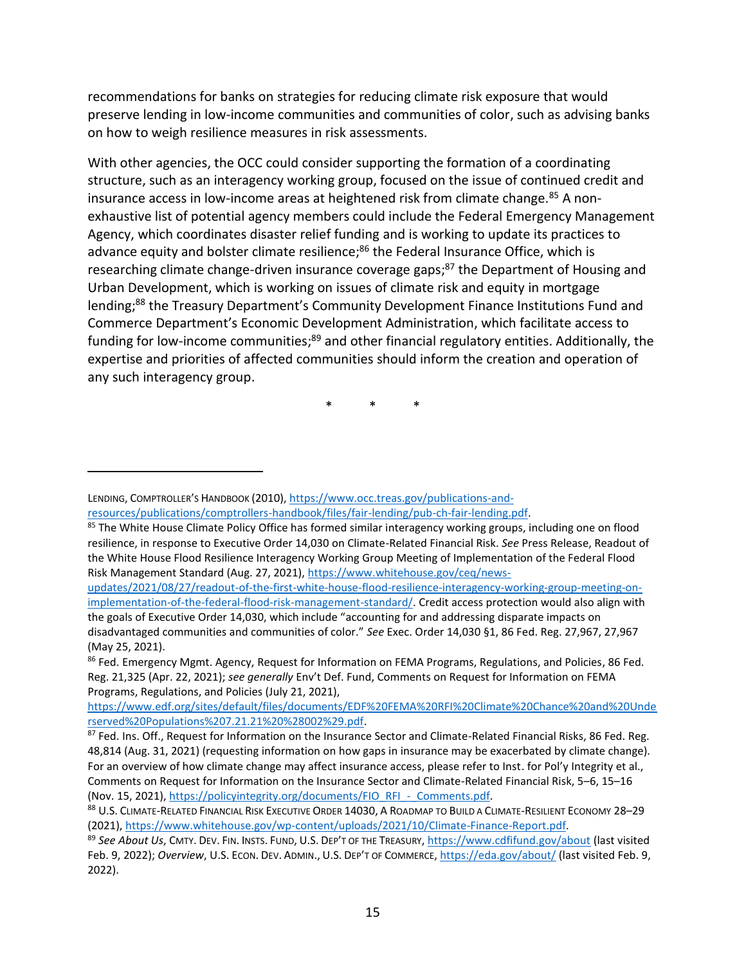recommendations for banks on strategies for reducing climate risk exposure that would preserve lending in low-income communities and communities of color, such as advising banks on how to weigh resilience measures in risk assessments.

With other agencies, the OCC could consider supporting the formation of a coordinating structure, such as an interagency working group, focused on the issue of continued credit and insurance access in low-income areas at heightened risk from climate change.<sup>85</sup> A nonexhaustive list of potential agency members could include the Federal Emergency Management Agency, which coordinates disaster relief funding and is working to update its practices to advance equity and bolster climate resilience;<sup>86</sup> the Federal Insurance Office, which is researching climate change-driven insurance coverage gaps;<sup>87</sup> the Department of Housing and Urban Development, which is working on issues of climate risk and equity in mortgage lending;<sup>88</sup> the Treasury Department's Community Development Finance Institutions Fund and Commerce Department's Economic Development Administration, which facilitate access to funding for low-income communities;<sup>89</sup> and other financial regulatory entities. Additionally, the expertise and priorities of affected communities should inform the creation and operation of any such interagency group.

\* \* \*

[updates/2021/08/27/readout-of-the-first-white-house-flood-resilience-interagency-working-group-meeting-on](https://www.whitehouse.gov/ceq/news-updates/2021/08/27/readout-of-the-first-white-house-flood-resilience-interagency-working-group-meeting-on-implementation-of-the-federal-flood-risk-management-standard/)[implementation-of-the-federal-flood-risk-management-standard/.](https://www.whitehouse.gov/ceq/news-updates/2021/08/27/readout-of-the-first-white-house-flood-resilience-interagency-working-group-meeting-on-implementation-of-the-federal-flood-risk-management-standard/) Credit access protection would also align with the goals of Executive Order 14,030, which include "accounting for and addressing disparate impacts on disadvantaged communities and communities of color." *See* Exec. Order 14,030 §1, 86 Fed. Reg. 27,967, 27,967 (May 25, 2021).

[https://www.edf.org/sites/default/files/documents/EDF%20FEMA%20RFI%20Climate%20Chance%20and%20Unde](https://www.edf.org/sites/default/files/documents/EDF%20FEMA%20RFI%20Climate%20Chance%20and%20Underserved%20Populations%207.21.21%20%28002%29.pdf) [rserved%20Populations%207.21.21%20%28002%29.pdf.](https://www.edf.org/sites/default/files/documents/EDF%20FEMA%20RFI%20Climate%20Chance%20and%20Underserved%20Populations%207.21.21%20%28002%29.pdf)

LENDING, COMPTROLLER'S HANDBOOK (2010), [https://www.occ.treas.gov/publications-and](https://www.occ.treas.gov/publications-and-resources/publications/comptrollers-handbook/files/fair-lending/pub-ch-fair-lending.pdf)[resources/publications/comptrollers-handbook/files/fair-lending/pub-ch-fair-lending.pdf.](https://www.occ.treas.gov/publications-and-resources/publications/comptrollers-handbook/files/fair-lending/pub-ch-fair-lending.pdf)

<sup>&</sup>lt;sup>85</sup> The White House Climate Policy Office has formed similar interagency working groups, including one on flood resilience, in response to Executive Order 14,030 on Climate-Related Financial Risk. *See* Press Release, Readout of the White House Flood Resilience Interagency Working Group Meeting of Implementation of the Federal Flood Risk Management Standard (Aug. 27, 2021), [https://www.whitehouse.gov/ceq/news-](https://www.whitehouse.gov/ceq/news-updates/2021/08/27/readout-of-the-first-white-house-flood-resilience-interagency-working-group-meeting-on-implementation-of-the-federal-flood-risk-management-standard/)

<sup>86</sup> Fed. Emergency Mgmt. Agency, Request for Information on FEMA Programs, Regulations, and Policies, 86 Fed. Reg. 21,325 (Apr. 22, 2021); *see generally* Env't Def. Fund, Comments on Request for Information on FEMA Programs, Regulations, and Policies (July 21, 2021),

<sup>87</sup> Fed. Ins. Off., Request for Information on the Insurance Sector and Climate-Related Financial Risks, 86 Fed. Reg. 48,814 (Aug. 31, 2021) (requesting information on how gaps in insurance may be exacerbated by climate change). For an overview of how climate change may affect insurance access, please refer to Inst. for Pol'y Integrity et al., Comments on Request for Information on the Insurance Sector and Climate-Related Financial Risk, 5–6, 15–16 (Nov. 15, 2021), [https://policyintegrity.org/documents/FIO\\_RFI\\_-\\_Comments.pdf.](https://policyintegrity.org/documents/FIO_RFI_-_Comments.pdf)

<sup>88</sup> U.S. CLIMATE-RELATED FINANCIAL RISK EXECUTIVE ORDER 14030, A ROADMAP TO BUILD A CLIMATE-RESILIENT ECONOMY 28-29 (2021), [https://www.whitehouse.gov/wp-content/uploads/2021/10/Climate-Finance-Report.pdf.](https://www.whitehouse.gov/wp-content/uploads/2021/10/Climate-Finance-Report.pdf)

<sup>89</sup> *See About Us*, CMTY. DEV. FIN. INSTS. FUND, U.S. DEP'T OF THE TREASURY,<https://www.cdfifund.gov/about> (last visited Feb. 9, 2022); *Overview*, U.S. ECON. DEV. ADMIN., U.S. DEP'T OF COMMERCE[, https://eda.gov/about/](https://eda.gov/about/) (last visited Feb. 9, 2022).